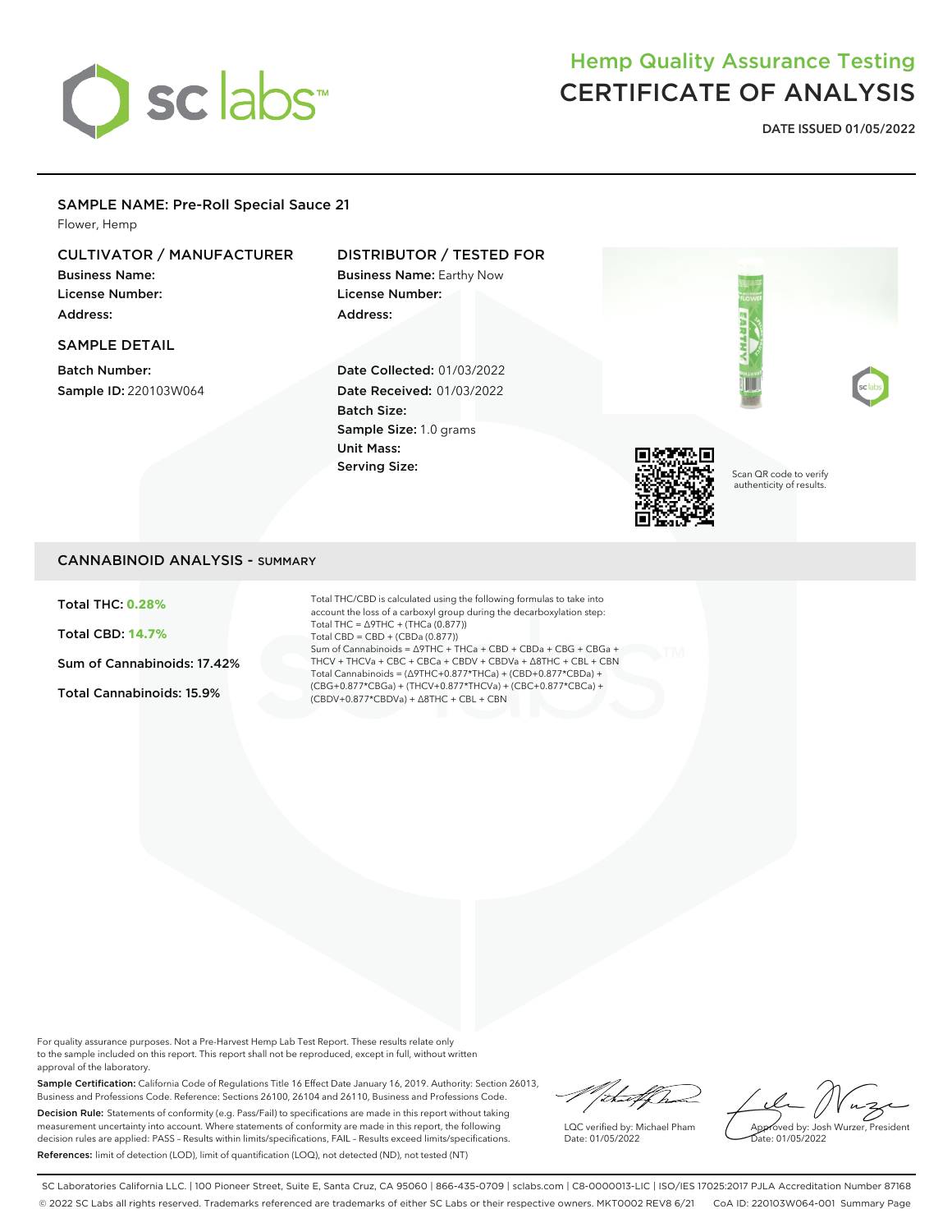

# Hemp Quality Assurance Testing CERTIFICATE OF ANALYSIS

**DATE ISSUED 01/05/2022**

### SAMPLE NAME: Pre-Roll Special Sauce 21

Flower, Hemp

## CULTIVATOR / MANUFACTURER

Business Name: License Number: Address:

### SAMPLE DETAIL

Batch Number: Sample ID: 220103W064

## DISTRIBUTOR / TESTED FOR

Business Name: Earthy Now License Number: Address:

Date Collected: 01/03/2022 Date Received: 01/03/2022 Batch Size: Sample Size: 1.0 grams Unit Mass: Serving Size:



Scan QR code to verify authenticity of results.

### CANNABINOID ANALYSIS - SUMMARY

Total THC: **0.28%**

Total CBD: **14.7%**

Sum of Cannabinoids: 17.42%

Total Cannabinoids: 15.9%

Total THC/CBD is calculated using the following formulas to take into account the loss of a carboxyl group during the decarboxylation step: Total THC = ∆9THC + (THCa (0.877)) Total CBD = CBD + (CBDa (0.877)) Sum of Cannabinoids = ∆9THC + THCa + CBD + CBDa + CBG + CBGa + THCV + THCVa + CBC + CBCa + CBDV + CBDVa + ∆8THC + CBL + CBN Total Cannabinoids = (∆9THC+0.877\*THCa) + (CBD+0.877\*CBDa) + (CBG+0.877\*CBGa) + (THCV+0.877\*THCVa) + (CBC+0.877\*CBCa) + (CBDV+0.877\*CBDVa) + ∆8THC + CBL + CBN

For quality assurance purposes. Not a Pre-Harvest Hemp Lab Test Report. These results relate only to the sample included on this report. This report shall not be reproduced, except in full, without written approval of the laboratory.

Sample Certification: California Code of Regulations Title 16 Effect Date January 16, 2019. Authority: Section 26013, Business and Professions Code. Reference: Sections 26100, 26104 and 26110, Business and Professions Code. Decision Rule: Statements of conformity (e.g. Pass/Fail) to specifications are made in this report without taking measurement uncertainty into account. Where statements of conformity are made in this report, the following decision rules are applied: PASS – Results within limits/specifications, FAIL – Results exceed limits/specifications. References: limit of detection (LOD), limit of quantification (LOQ), not detected (ND), not tested (NT)

Vituelfra

LQC verified by: Michael Pham Date: 01/05/2022

Approved by: Josh Wurzer, President Date: 01/05/2022

SC Laboratories California LLC. | 100 Pioneer Street, Suite E, Santa Cruz, CA 95060 | 866-435-0709 | sclabs.com | C8-0000013-LIC | ISO/IES 17025:2017 PJLA Accreditation Number 87168 © 2022 SC Labs all rights reserved. Trademarks referenced are trademarks of either SC Labs or their respective owners. MKT0002 REV8 6/21 CoA ID: 220103W064-001 Summary Page